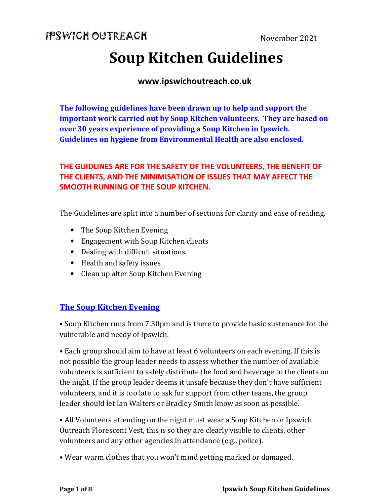# **Soup Kitchen Guidelines**

#### **www.ipswichoutreach.co.uk**

**The following guidelines have been drawn up to help and support the important work carried out by Soup Kitchen volunteers. They are based on over 30 years experience of providing a Soup Kitchen in Ipswich. Guidelines on hygiene from Environmental Health are also enclosed.** 

#### **THE GUIDLINES ARE FOR THE SAFETY OF THE VOLUNTEERS, THE BENEFIT OF THE CLIENTS, AND THE MINIMISATION OF ISSUES THAT MAY AFFECT THE SMOOTH RUNNING OF THE SOUP KITCHEN.**

The Guidelines are split into a number of sections for clarity and ease of reading.

- The Soup Kitchen Evening
- Engagement with Soup Kitchen clients
- Dealing with difficult situations
- Health and safety issues
- Clean up after Soup Kitchen Evening

#### **The Soup Kitchen Evening**

• Soup Kitchen runs from 7.30pm and is there to provide basic sustenance for the vulnerable and needy of Ipswich.

• Each group should aim to have at least 6 volunteers on each evening. If this is not possible the group leader needs to assess whether the number of available volunteers is sufficient to safely distribute the food and beverage to the clients on the night. If the group leader deems it unsafe because they don't have sufficient volunteers, and it is too late to ask for support from other teams, the group leader should let Ian Walters or Bradley Smith know as soon as possible.

• All Volunteers attending on the night must wear a Soup Kitchen or Ipswich Outreach Florescent Vest, this is so they are clearly visible to clients, other volunteers and any other agencies in attendance (e.g., police).

• Wear warm clothes that you won't mind getting marked or damaged.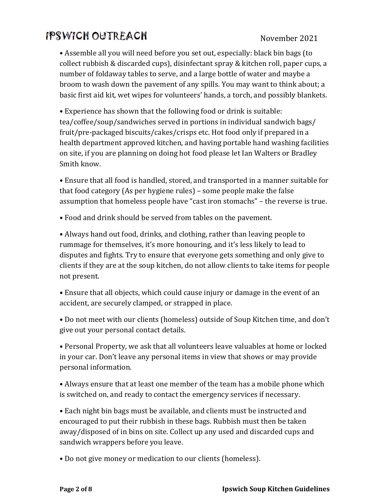• Assemble all you will need before you set out, especially: black bin bags (to collect rubbish & discarded cups), disinfectant spray & kitchen roll, paper cups, a number of foldaway tables to serve, and a large bottle of water and maybe a broom to wash down the pavement of any spills. You may want to think about; a basic first aid kit, wet wipes for volunteers' hands, a torch, and possibly blankets.

• Experience has shown that the following food or drink is suitable: tea/coffee/soup/sandwiches served in portions in individual sandwich bags/ fruit/pre-packaged biscuits/cakes/crisps etc. Hot food only if prepared in a health department approved kitchen, and having portable hand washing facilities on site, if you are planning on doing hot food please let Ian Walters or Bradley Smith know.

• Ensure that all food is handled, stored, and transported in a manner suitable for that food category (As per hygiene rules) – some people make the false assumption that homeless people have "cast iron stomachs" – the reverse is true.

• Food and drink should be served from tables on the pavement.

• Always hand out food, drinks, and clothing, rather than leaving people to rummage for themselves, it's more honouring, and it's less likely to lead to disputes and fights. Try to ensure that everyone gets something and only give to clients if they are at the soup kitchen, do not allow clients to take items for people not present.

• Ensure that all objects, which could cause injury or damage in the event of an accident, are securely clamped, or strapped in place.

• Do not meet with our clients (homeless) outside of Soup Kitchen time, and don't give out your personal contact details.

• Personal Property, we ask that all volunteers leave valuables at home or locked in your car. Don't leave any personal items in view that shows or may provide personal information.

• Always ensure that at least one member of the team has a mobile phone which is switched on, and ready to contact the emergency services if necessary.

• Each night bin bags must be available, and clients must be instructed and encouraged to put their rubbish in these bags. Rubbish must then be taken away/disposed of in bins on site. Collect up any used and discarded cups and sandwich wrappers before you leave.

• Do not give money or medication to our clients (homeless).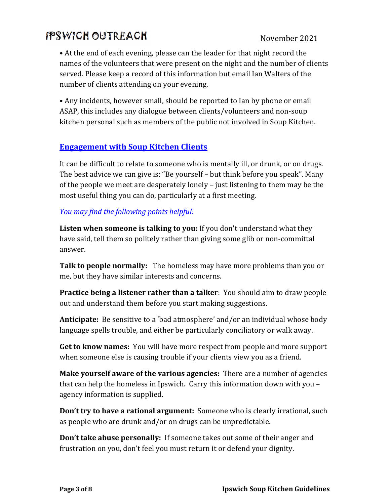• At the end of each evening, please can the leader for that night record the names of the volunteers that were present on the night and the number of clients served. Please keep a record of this information but email Ian Walters of the number of clients attending on your evening.

• Any incidents, however small, should be reported to Ian by phone or email ASAP, this includes any dialogue between clients/volunteers and non-soup kitchen personal such as members of the public not involved in Soup Kitchen.

#### **Engagement with Soup Kitchen Clients**

It can be difficult to relate to someone who is mentally ill, or drunk, or on drugs. The best advice we can give is: "Be yourself – but think before you speak". Many of the people we meet are desperately lonely – just listening to them may be the most useful thing you can do, particularly at a first meeting.

#### *You may find the following points helpful:*

**Listen when someone is talking to you:** If you don't understand what they have said, tell them so politely rather than giving some glib or non-committal answer.

**Talk to people normally:** The homeless may have more problems than you or me, but they have similar interests and concerns.

**Practice being a listener rather than a talker**: You should aim to draw people out and understand them before you start making suggestions.

**Anticipate:** Be sensitive to a 'bad atmosphere' and/or an individual whose body language spells trouble, and either be particularly conciliatory or walk away.

**Get to know names:** You will have more respect from people and more support when someone else is causing trouble if your clients view you as a friend.

**Make yourself aware of the various agencies:** There are a number of agencies that can help the homeless in Ipswich. Carry this information down with you – agency information is supplied.

**Don't try to have a rational argument:** Someone who is clearly irrational, such as people who are drunk and/or on drugs can be unpredictable.

**Don't take abuse personally:** If someone takes out some of their anger and frustration on you, don't feel you must return it or defend your dignity.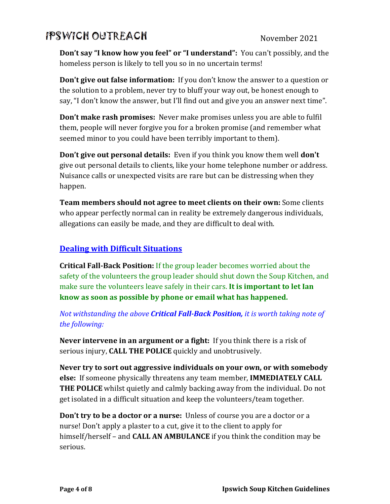**Don't say "I know how you feel" or "I understand":** You can't possibly, and the homeless person is likely to tell you so in no uncertain terms!

**Don't give out false information:** If you don't know the answer to a question or the solution to a problem, never try to bluff your way out, be honest enough to say, "I don't know the answer, but I'll find out and give you an answer next time".

**Don't make rash promises:** Never make promises unless you are able to fulfil them, people will never forgive you for a broken promise (and remember what seemed minor to you could have been terribly important to them).

**Don't give out personal details:** Even if you think you know them well **don't** give out personal details to clients, like your home telephone number or address. Nuisance calls or unexpected visits are rare but can be distressing when they happen.

**Team members should not agree to meet clients on their own:** Some clients who appear perfectly normal can in reality be extremely dangerous individuals, allegations can easily be made, and they are difficult to deal with.

#### **Dealing with Difficult Situations**

**Critical Fall-Back Position:** If the group leader becomes worried about the safety of the volunteers the group leader should shut down the Soup Kitchen, and make sure the volunteers leave safely in their cars. **It is important to let Ian know as soon as possible by phone or email what has happened.**

*Not withstanding the above Critical Fall-Back Position, it is worth taking note of the following:* 

**Never intervene in an argument or a fight:** If you think there is a risk of serious injury, **CALL THE POLICE** quickly and unobtrusively.

**Never try to sort out aggressive individuals on your own, or with somebody else:** If someone physically threatens any team member, **IMMEDIATELY CALL THE POLICE** whilst quietly and calmly backing away from the individual. Do not get isolated in a difficult situation and keep the volunteers/team together.

**Don't try to be a doctor or a nurse:** Unless of course you are a doctor or a nurse! Don't apply a plaster to a cut, give it to the client to apply for himself/herself – and **CALL AN AMBULANCE** if you think the condition may be serious.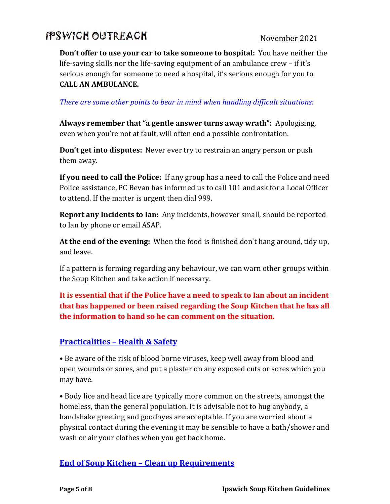**Don't offer to use your car to take someone to hospital:** You have neither the life-saving skills nor the life-saving equipment of an ambulance crew – if it's serious enough for someone to need a hospital, it's serious enough for you to **CALL AN AMBULANCE.** 

*There are some other points to bear in mind when handling difficult situations:* 

**Always remember that "a gentle answer turns away wrath":** Apologising, even when you're not at fault, will often end a possible confrontation.

**Don't get into disputes:** Never ever try to restrain an angry person or push them away.

**If you need to call the Police:** If any group has a need to call the Police and need Police assistance, PC Bevan has informed us to call 101 and ask for a Local Officer to attend. If the matter is urgent then dial 999.

**Report any Incidents to Ian:** Any incidents, however small, should be reported to Ian by phone or email ASAP.

**At the end of the evening:** When the food is finished don't hang around, tidy up, and leave.

If a pattern is forming regarding any behaviour, we can warn other groups within the Soup Kitchen and take action if necessary.

**It is essential that if the Police have a need to speak to Ian about an incident that has happened or been raised regarding the Soup Kitchen that he has all the information to hand so he can comment on the situation.** 

#### **Practicalities – Health & Safety**

• Be aware of the risk of blood borne viruses, keep well away from blood and open wounds or sores, and put a plaster on any exposed cuts or sores which you may have.

• Body lice and head lice are typically more common on the streets, amongst the homeless, than the general population. It is advisable not to hug anybody, a handshake greeting and goodbyes are acceptable. If you are worried about a physical contact during the evening it may be sensible to have a bath/shower and wash or air your clothes when you get back home.

#### **End of Soup Kitchen – Clean up Requirements**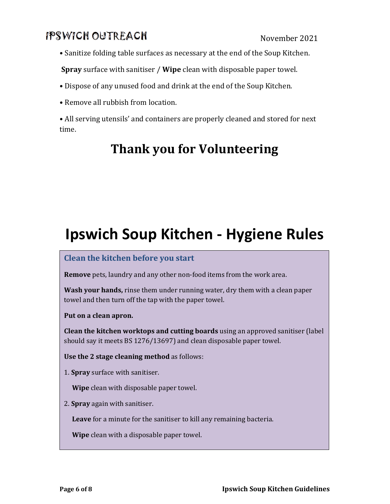• Sanitize folding table surfaces as necessary at the end of the Soup Kitchen.

**Spray** surface with sanitiser / **Wipe** clean with disposable paper towel.

- Dispose of any unused food and drink at the end of the Soup Kitchen.
- Remove all rubbish from location.
- All serving utensils' and containers are properly cleaned and stored for next time.

## **Thank you for Volunteering**

# **Ipswich Soup Kitchen - Hygiene Rules**

#### **Clean the kitchen before you start**

**Remove** pets, laundry and any other non-food items from the work area.

**Wash your hands,** rinse them under running water, dry them with a clean paper towel and then turn off the tap with the paper towel.

**Put on a clean apron.** 

**Clean the kitchen worktops and cutting boards** using an approved sanitiser (label should say it meets BS 1276/13697) and clean disposable paper towel.

**Use the 2 stage cleaning method** as follows:

1. **Spray** surface with sanitiser.

**Wipe** clean with disposable paper towel.

2. **Spray** again with sanitiser.

**Leave** for a minute for the sanitiser to kill any remaining bacteria.

**Wipe** clean with a disposable paper towel.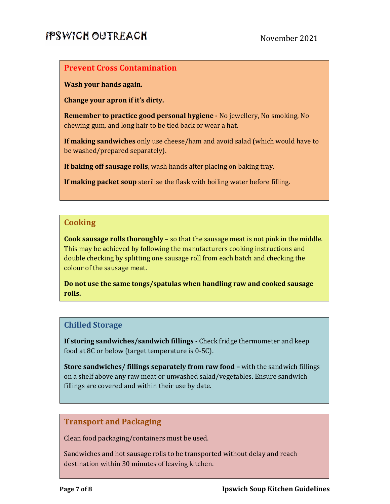#### **Prevent Cross Contamination**

**Wash your hands again.** 

**Change your apron if it's dirty.** 

**Remember to practice good personal hygiene -** No jewellery, No smoking, No chewing gum, and long hair to be tied back or wear a hat.

**If making sandwiches** only use cheese/ham and avoid salad (which would have to be washed/prepared separately).

**If baking off sausage rolls**, wash hands after placing on baking tray.

**If making packet soup** sterilise the flask with boiling water before filling.

#### **Cooking**

**Cook sausage rolls thoroughly** – so that the sausage meat is not pink in the middle. This may be achieved by following the manufacturers cooking instructions and double checking by splitting one sausage roll from each batch and checking the colour of the sausage meat.

**Do not use the same tongs/spatulas when handling raw and cooked sausage rolls.** 

#### **Chilled Storage**

**If storing sandwiches/sandwich fillings -** Check fridge thermometer and keep food at 8C or below (target temperature is 0-5C).

**Store sandwiches/ fillings separately from raw food –** with the sandwich fillings on a shelf above any raw meat or unwashed salad/vegetables. Ensure sandwich fillings are covered and within their use by date.

#### **Transport and Packaging**

Clean food packaging/containers must be used.

Sandwiches and hot sausage rolls to be transported without delay and reach destination within 30 minutes of leaving kitchen.